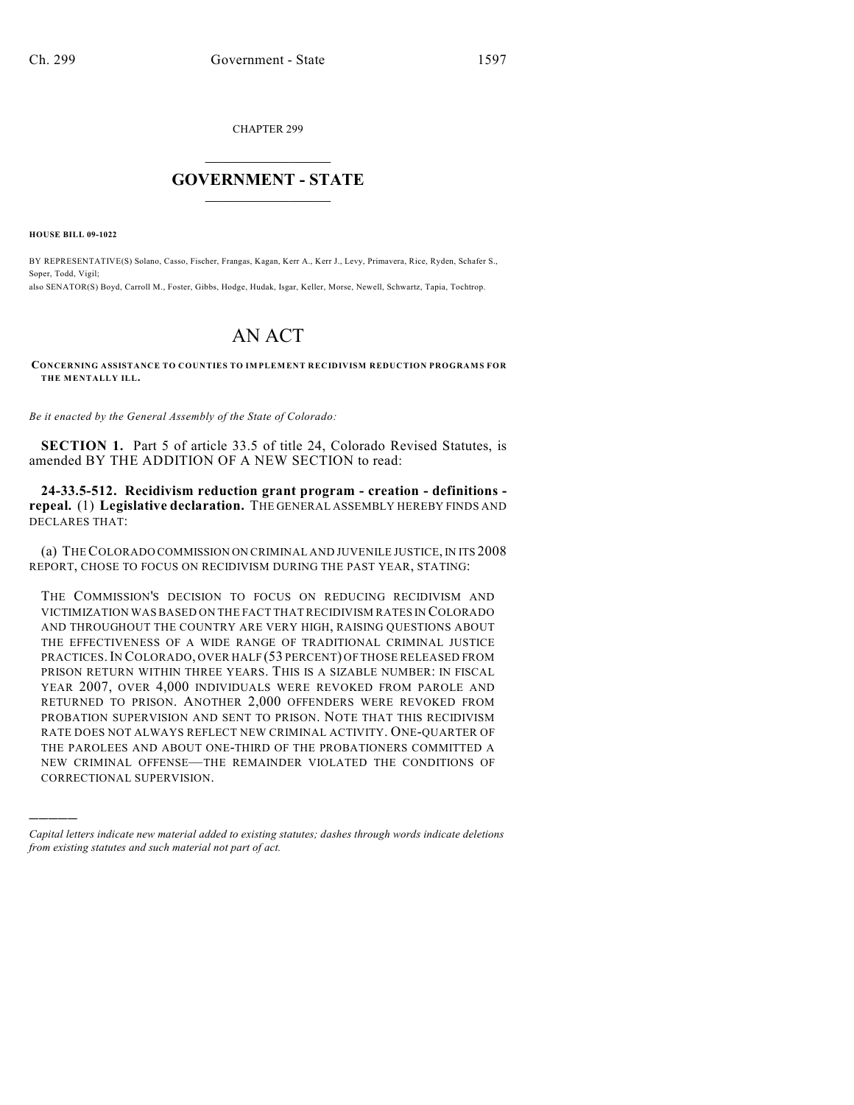CHAPTER 299

## $\mathcal{L}_\text{max}$  . The set of the set of the set of the set of the set of the set of the set of the set of the set of the set of the set of the set of the set of the set of the set of the set of the set of the set of the set **GOVERNMENT - STATE**  $\_$   $\_$

**HOUSE BILL 09-1022**

)))))

BY REPRESENTATIVE(S) Solano, Casso, Fischer, Frangas, Kagan, Kerr A., Kerr J., Levy, Primavera, Rice, Ryden, Schafer S., Soper, Todd, Vigil; also SENATOR(S) Boyd, Carroll M., Foster, Gibbs, Hodge, Hudak, Isgar, Keller, Morse, Newell, Schwartz, Tapia, Tochtrop.

## AN ACT

**CONCERNING ASSISTANCE TO COUNTIES TO IMPLEMENT RECIDIVISM REDUCTION PROGRAMS FOR THE MENTALLY ILL.**

*Be it enacted by the General Assembly of the State of Colorado:*

**SECTION 1.** Part 5 of article 33.5 of title 24, Colorado Revised Statutes, is amended BY THE ADDITION OF A NEW SECTION to read:

**24-33.5-512. Recidivism reduction grant program - creation - definitions repeal.** (1) **Legislative declaration.** THE GENERAL ASSEMBLY HEREBY FINDS AND DECLARES THAT:

(a) THE COLORADO COMMISSION ON CRIMINAL AND JUVENILE JUSTICE, IN ITS 2008 REPORT, CHOSE TO FOCUS ON RECIDIVISM DURING THE PAST YEAR, STATING:

THE COMMISSION'S DECISION TO FOCUS ON REDUCING RECIDIVISM AND VICTIMIZATION WAS BASED ON THE FACT THAT RECIDIVISM RATES IN COLORADO AND THROUGHOUT THE COUNTRY ARE VERY HIGH, RAISING QUESTIONS ABOUT THE EFFECTIVENESS OF A WIDE RANGE OF TRADITIONAL CRIMINAL JUSTICE PRACTICES.IN COLORADO, OVER HALF (53 PERCENT) OF THOSE RELEASED FROM PRISON RETURN WITHIN THREE YEARS. THIS IS A SIZABLE NUMBER: IN FISCAL YEAR 2007, OVER 4,000 INDIVIDUALS WERE REVOKED FROM PAROLE AND RETURNED TO PRISON. ANOTHER 2,000 OFFENDERS WERE REVOKED FROM PROBATION SUPERVISION AND SENT TO PRISON. NOTE THAT THIS RECIDIVISM RATE DOES NOT ALWAYS REFLECT NEW CRIMINAL ACTIVITY. ONE-QUARTER OF THE PAROLEES AND ABOUT ONE-THIRD OF THE PROBATIONERS COMMITTED A NEW CRIMINAL OFFENSE—THE REMAINDER VIOLATED THE CONDITIONS OF CORRECTIONAL SUPERVISION.

*Capital letters indicate new material added to existing statutes; dashes through words indicate deletions from existing statutes and such material not part of act.*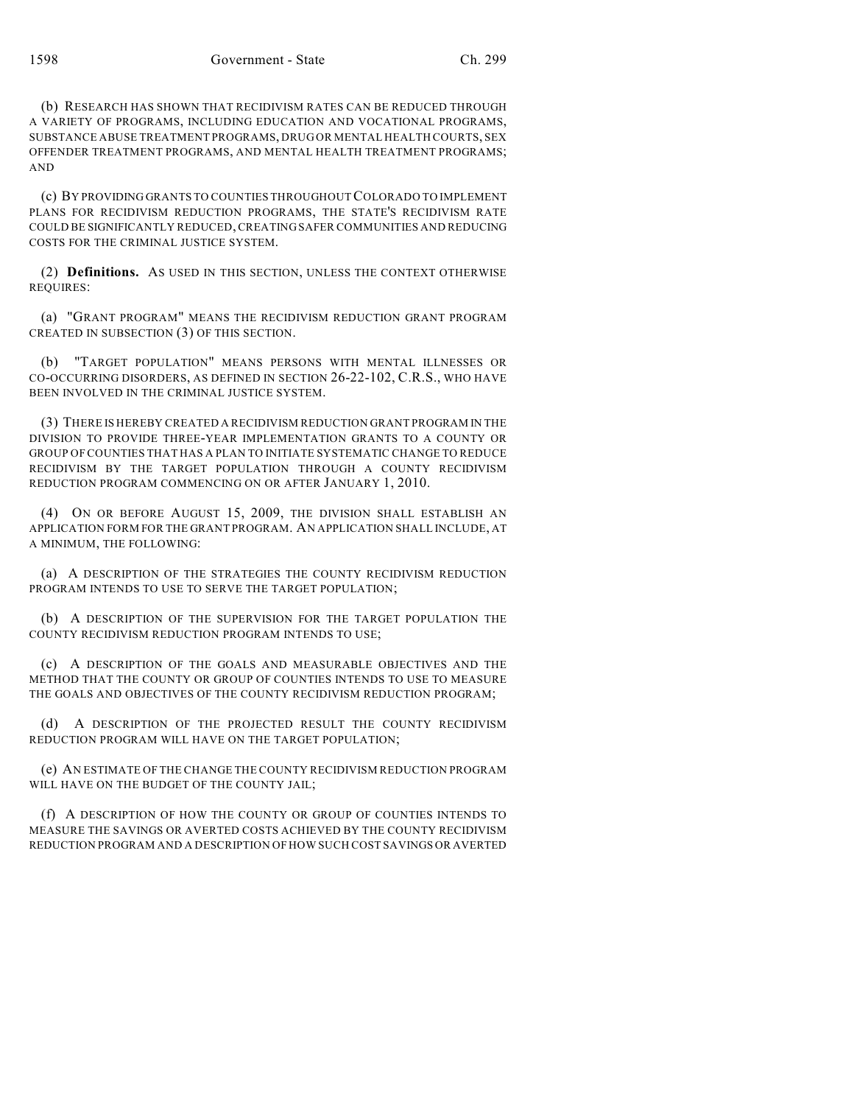(b) RESEARCH HAS SHOWN THAT RECIDIVISM RATES CAN BE REDUCED THROUGH A VARIETY OF PROGRAMS, INCLUDING EDUCATION AND VOCATIONAL PROGRAMS, SUBSTANCE ABUSE TREATMENT PROGRAMS, DRUG OR MENTAL HEALTH COURTS, SEX OFFENDER TREATMENT PROGRAMS, AND MENTAL HEALTH TREATMENT PROGRAMS; AND

(c) BY PROVIDING GRANTS TO COUNTIES THROUGHOUT COLORADO TO IMPLEMENT PLANS FOR RECIDIVISM REDUCTION PROGRAMS, THE STATE'S RECIDIVISM RATE COULD BE SIGNIFICANTLY REDUCED, CREATING SAFER COMMUNITIES AND REDUCING COSTS FOR THE CRIMINAL JUSTICE SYSTEM.

(2) **Definitions.** AS USED IN THIS SECTION, UNLESS THE CONTEXT OTHERWISE REQUIRES:

(a) "GRANT PROGRAM" MEANS THE RECIDIVISM REDUCTION GRANT PROGRAM CREATED IN SUBSECTION (3) OF THIS SECTION.

(b) "TARGET POPULATION" MEANS PERSONS WITH MENTAL ILLNESSES OR CO-OCCURRING DISORDERS, AS DEFINED IN SECTION 26-22-102, C.R.S., WHO HAVE BEEN INVOLVED IN THE CRIMINAL JUSTICE SYSTEM.

(3) THERE IS HEREBY CREATED A RECIDIVISM REDUCTION GRANT PROGRAM IN THE DIVISION TO PROVIDE THREE-YEAR IMPLEMENTATION GRANTS TO A COUNTY OR GROUP OF COUNTIES THAT HAS A PLAN TO INITIATE SYSTEMATIC CHANGE TO REDUCE RECIDIVISM BY THE TARGET POPULATION THROUGH A COUNTY RECIDIVISM REDUCTION PROGRAM COMMENCING ON OR AFTER JANUARY 1, 2010.

(4) ON OR BEFORE AUGUST 15, 2009, THE DIVISION SHALL ESTABLISH AN APPLICATION FORM FOR THE GRANT PROGRAM. AN APPLICATION SHALL INCLUDE, AT A MINIMUM, THE FOLLOWING:

(a) A DESCRIPTION OF THE STRATEGIES THE COUNTY RECIDIVISM REDUCTION PROGRAM INTENDS TO USE TO SERVE THE TARGET POPULATION;

(b) A DESCRIPTION OF THE SUPERVISION FOR THE TARGET POPULATION THE COUNTY RECIDIVISM REDUCTION PROGRAM INTENDS TO USE;

(c) A DESCRIPTION OF THE GOALS AND MEASURABLE OBJECTIVES AND THE METHOD THAT THE COUNTY OR GROUP OF COUNTIES INTENDS TO USE TO MEASURE THE GOALS AND OBJECTIVES OF THE COUNTY RECIDIVISM REDUCTION PROGRAM;

(d) A DESCRIPTION OF THE PROJECTED RESULT THE COUNTY RECIDIVISM REDUCTION PROGRAM WILL HAVE ON THE TARGET POPULATION;

(e) AN ESTIMATE OF THE CHANGE THE COUNTY RECIDIVISM REDUCTION PROGRAM WILL HAVE ON THE BUDGET OF THE COUNTY JAIL;

(f) A DESCRIPTION OF HOW THE COUNTY OR GROUP OF COUNTIES INTENDS TO MEASURE THE SAVINGS OR AVERTED COSTS ACHIEVED BY THE COUNTY RECIDIVISM REDUCTION PROGRAM AND A DESCRIPTION OF HOW SUCH COST SAVINGS OR AVERTED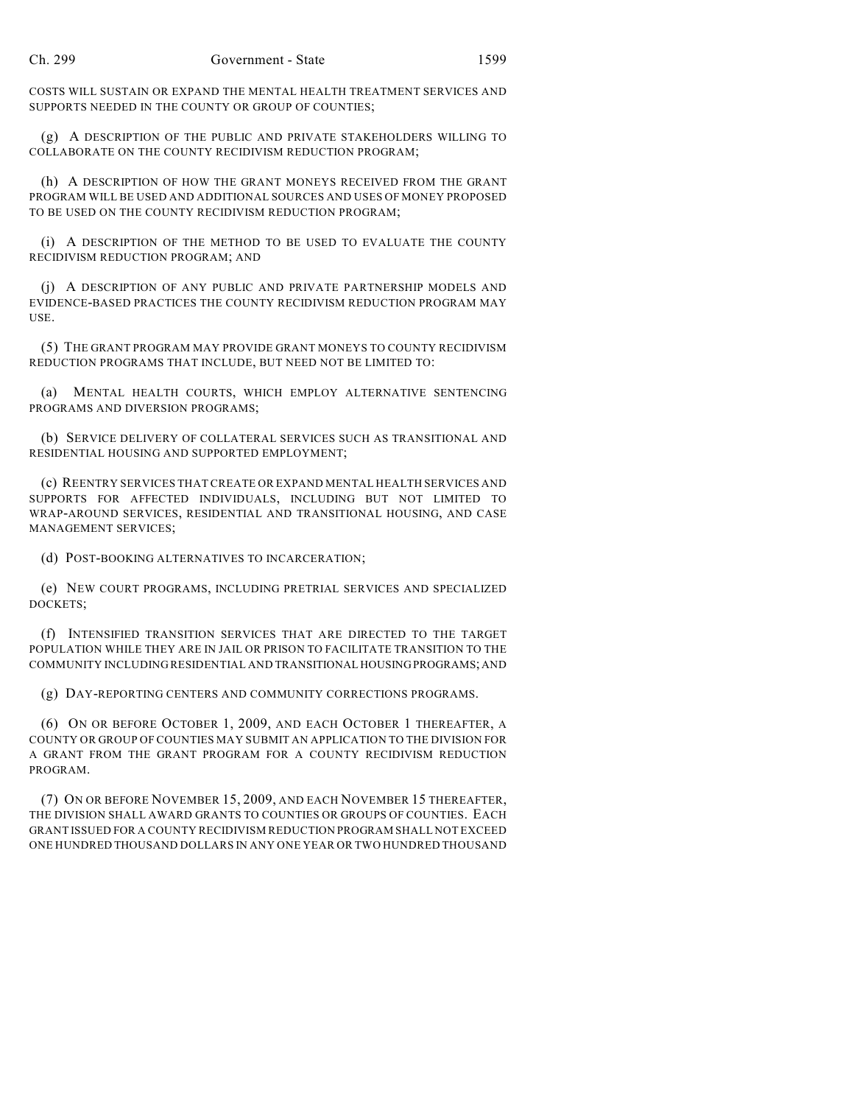COSTS WILL SUSTAIN OR EXPAND THE MENTAL HEALTH TREATMENT SERVICES AND SUPPORTS NEEDED IN THE COUNTY OR GROUP OF COUNTIES;

(g) A DESCRIPTION OF THE PUBLIC AND PRIVATE STAKEHOLDERS WILLING TO COLLABORATE ON THE COUNTY RECIDIVISM REDUCTION PROGRAM;

(h) A DESCRIPTION OF HOW THE GRANT MONEYS RECEIVED FROM THE GRANT PROGRAM WILL BE USED AND ADDITIONAL SOURCES AND USES OF MONEY PROPOSED TO BE USED ON THE COUNTY RECIDIVISM REDUCTION PROGRAM;

(i) A DESCRIPTION OF THE METHOD TO BE USED TO EVALUATE THE COUNTY RECIDIVISM REDUCTION PROGRAM; AND

(j) A DESCRIPTION OF ANY PUBLIC AND PRIVATE PARTNERSHIP MODELS AND EVIDENCE-BASED PRACTICES THE COUNTY RECIDIVISM REDUCTION PROGRAM MAY USE.

(5) THE GRANT PROGRAM MAY PROVIDE GRANT MONEYS TO COUNTY RECIDIVISM REDUCTION PROGRAMS THAT INCLUDE, BUT NEED NOT BE LIMITED TO:

(a) MENTAL HEALTH COURTS, WHICH EMPLOY ALTERNATIVE SENTENCING PROGRAMS AND DIVERSION PROGRAMS;

(b) SERVICE DELIVERY OF COLLATERAL SERVICES SUCH AS TRANSITIONAL AND RESIDENTIAL HOUSING AND SUPPORTED EMPLOYMENT;

(c) REENTRY SERVICES THAT CREATE OR EXPAND MENTAL HEALTH SERVICES AND SUPPORTS FOR AFFECTED INDIVIDUALS, INCLUDING BUT NOT LIMITED TO WRAP-AROUND SERVICES, RESIDENTIAL AND TRANSITIONAL HOUSING, AND CASE MANAGEMENT SERVICES;

(d) POST-BOOKING ALTERNATIVES TO INCARCERATION;

(e) NEW COURT PROGRAMS, INCLUDING PRETRIAL SERVICES AND SPECIALIZED DOCKETS;

(f) INTENSIFIED TRANSITION SERVICES THAT ARE DIRECTED TO THE TARGET POPULATION WHILE THEY ARE IN JAIL OR PRISON TO FACILITATE TRANSITION TO THE COMMUNITY INCLUDING RESIDENTIAL AND TRANSITIONAL HOUSING PROGRAMS; AND

(g) DAY-REPORTING CENTERS AND COMMUNITY CORRECTIONS PROGRAMS.

(6) ON OR BEFORE OCTOBER 1, 2009, AND EACH OCTOBER 1 THEREAFTER, A COUNTY OR GROUP OF COUNTIES MAY SUBMIT AN APPLICATION TO THE DIVISION FOR A GRANT FROM THE GRANT PROGRAM FOR A COUNTY RECIDIVISM REDUCTION PROGRAM.

(7) ON OR BEFORE NOVEMBER 15, 2009, AND EACH NOVEMBER 15 THEREAFTER, THE DIVISION SHALL AWARD GRANTS TO COUNTIES OR GROUPS OF COUNTIES. EACH GRANT ISSUED FOR A COUNTY RECIDIVISM REDUCTION PROGRAM SHALL NOT EXCEED ONE HUNDRED THOUSAND DOLLARS IN ANY ONE YEAR OR TWO HUNDRED THOUSAND